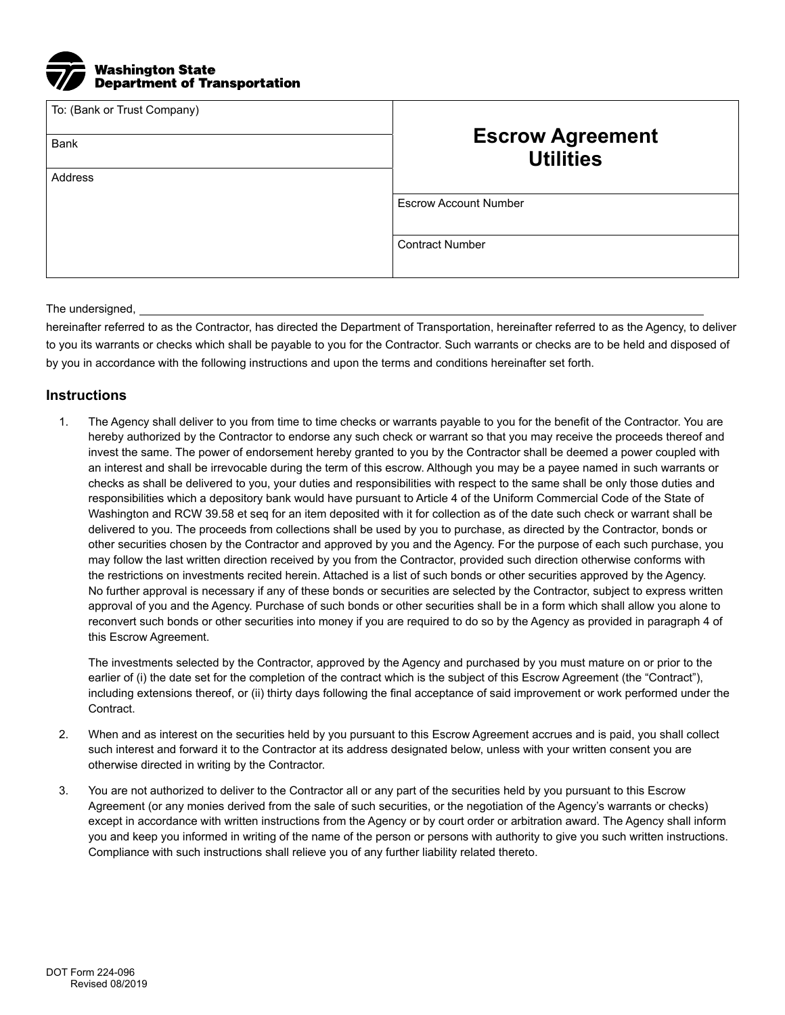

| To: (Bank or Trust Company)<br><b>Bank</b> | <b>Escrow Agreement</b><br><b>Utilities</b> |  |
|--------------------------------------------|---------------------------------------------|--|
| Address                                    |                                             |  |
|                                            | <b>Escrow Account Number</b>                |  |
|                                            | <b>Contract Number</b>                      |  |

## The undersigned,

hereinafter referred to as the Contractor, has directed the Department of Transportation, hereinafter referred to as the Agency, to deliver to you its warrants or checks which shall be payable to you for the Contractor. Such warrants or checks are to be held and disposed of by you in accordance with the following instructions and upon the terms and conditions hereinafter set forth.

## **Instructions**

1. The Agency shall deliver to you from time to time checks or warrants payable to you for the benefit of the Contractor. You are hereby authorized by the Contractor to endorse any such check or warrant so that you may receive the proceeds thereof and invest the same. The power of endorsement hereby granted to you by the Contractor shall be deemed a power coupled with an interest and shall be irrevocable during the term of this escrow. Although you may be a payee named in such warrants or checks as shall be delivered to you, your duties and responsibilities with respect to the same shall be only those duties and responsibilities which a depository bank would have pursuant to Article 4 of the Uniform Commercial Code of the State of Washington and RCW 39.58 et seq for an item deposited with it for collection as of the date such check or warrant shall be delivered to you. The proceeds from collections shall be used by you to purchase, as directed by the Contractor, bonds or other securities chosen by the Contractor and approved by you and the Agency. For the purpose of each such purchase, you may follow the last written direction received by you from the Contractor, provided such direction otherwise conforms with the restrictions on investments recited herein. Attached is a list of such bonds or other securities approved by the Agency. No further approval is necessary if any of these bonds or securities are selected by the Contractor, subject to express written approval of you and the Agency. Purchase of such bonds or other securities shall be in a form which shall allow you alone to reconvert such bonds or other securities into money if you are required to do so by the Agency as provided in paragraph 4 of this Escrow Agreement.

The investments selected by the Contractor, approved by the Agency and purchased by you must mature on or prior to the earlier of (i) the date set for the completion of the contract which is the subject of this Escrow Agreement (the "Contract"), including extensions thereof, or (ii) thirty days following the final acceptance of said improvement or work performed under the Contract.

- 2. When and as interest on the securities held by you pursuant to this Escrow Agreement accrues and is paid, you shall collect such interest and forward it to the Contractor at its address designated below, unless with your written consent you are otherwise directed in writing by the Contractor.
- 3. You are not authorized to deliver to the Contractor all or any part of the securities held by you pursuant to this Escrow Agreement (or any monies derived from the sale of such securities, or the negotiation of the Agency's warrants or checks) except in accordance with written instructions from the Agency or by court order or arbitration award. The Agency shall inform you and keep you informed in writing of the name of the person or persons with authority to give you such written instructions. Compliance with such instructions shall relieve you of any further liability related thereto.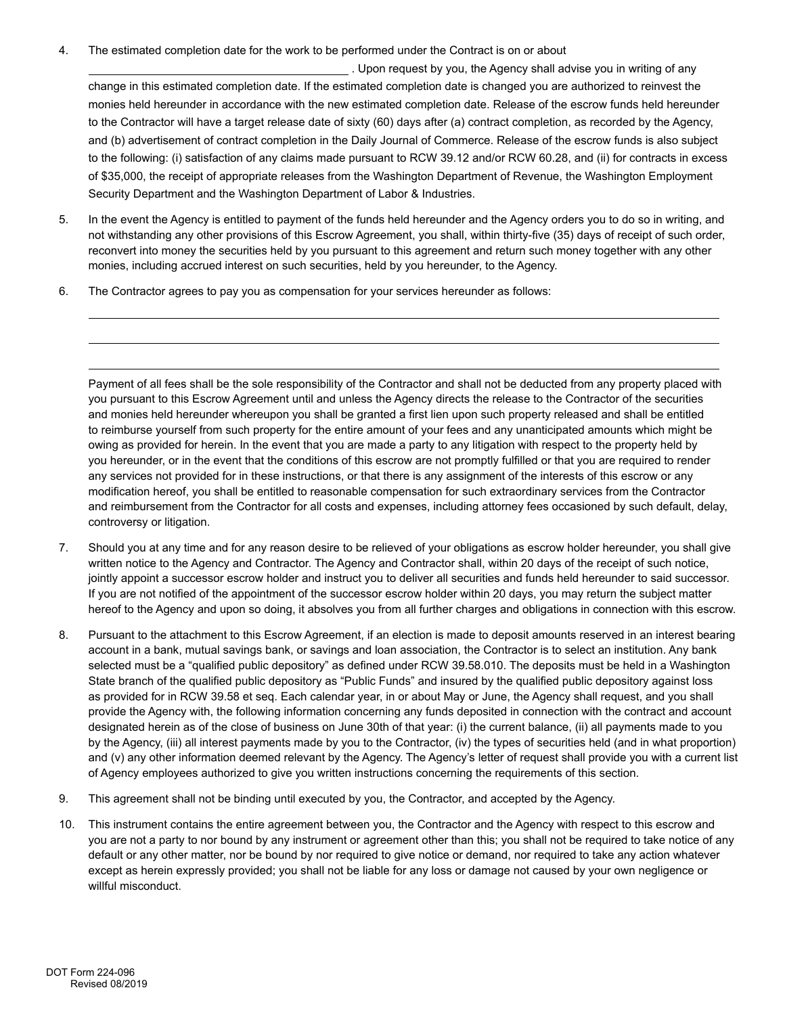4. The estimated completion date for the work to be performed under the Contract is on or about

 . Upon request by you, the Agency shall advise you in writing of any change in this estimated completion date. If the estimated completion date is changed you are authorized to reinvest the monies held hereunder in accordance with the new estimated completion date. Release of the escrow funds held hereunder to the Contractor will have a target release date of sixty (60) days after (a) contract completion, as recorded by the Agency, and (b) advertisement of contract completion in the Daily Journal of Commerce. Release of the escrow funds is also subject to the following: (i) satisfaction of any claims made pursuant to RCW 39.12 and/or RCW 60.28, and (ii) for contracts in excess of \$35,000, the receipt of appropriate releases from the Washington Department of Revenue, the Washington Employment Security Department and the Washington Department of Labor & Industries.

- 5. In the event the Agency is entitled to payment of the funds held hereunder and the Agency orders you to do so in writing, and not withstanding any other provisions of this Escrow Agreement, you shall, within thirty-five (35) days of receipt of such order, reconvert into money the securities held by you pursuant to this agreement and return such money together with any other monies, including accrued interest on such securities, held by you hereunder, to the Agency.
- 6. The Contractor agrees to pay you as compensation for your services hereunder as follows:

Payment of all fees shall be the sole responsibility of the Contractor and shall not be deducted from any property placed with you pursuant to this Escrow Agreement until and unless the Agency directs the release to the Contractor of the securities and monies held hereunder whereupon you shall be granted a first lien upon such property released and shall be entitled to reimburse yourself from such property for the entire amount of your fees and any unanticipated amounts which might be owing as provided for herein. In the event that you are made a party to any litigation with respect to the property held by you hereunder, or in the event that the conditions of this escrow are not promptly fulfilled or that you are required to render any services not provided for in these instructions, or that there is any assignment of the interests of this escrow or any modification hereof, you shall be entitled to reasonable compensation for such extraordinary services from the Contractor and reimbursement from the Contractor for all costs and expenses, including attorney fees occasioned by such default, delay, controversy or litigation.

- 7. Should you at any time and for any reason desire to be relieved of your obligations as escrow holder hereunder, you shall give written notice to the Agency and Contractor. The Agency and Contractor shall, within 20 days of the receipt of such notice, jointly appoint a successor escrow holder and instruct you to deliver all securities and funds held hereunder to said successor. If you are not notified of the appointment of the successor escrow holder within 20 days, you may return the subject matter hereof to the Agency and upon so doing, it absolves you from all further charges and obligations in connection with this escrow.
- 8. Pursuant to the attachment to this Escrow Agreement, if an election is made to deposit amounts reserved in an interest bearing account in a bank, mutual savings bank, or savings and loan association, the Contractor is to select an institution. Any bank selected must be a "qualified public depository" as defined under RCW 39.58.010. The deposits must be held in a Washington State branch of the qualified public depository as "Public Funds" and insured by the qualified public depository against loss as provided for in RCW 39.58 et seq. Each calendar year, in or about May or June, the Agency shall request, and you shall provide the Agency with, the following information concerning any funds deposited in connection with the contract and account designated herein as of the close of business on June 30th of that year: (i) the current balance, (ii) all payments made to you by the Agency, (iii) all interest payments made by you to the Contractor, (iv) the types of securities held (and in what proportion) and (v) any other information deemed relevant by the Agency. The Agency's letter of request shall provide you with a current list of Agency employees authorized to give you written instructions concerning the requirements of this section.
- 9. This agreement shall not be binding until executed by you, the Contractor, and accepted by the Agency.
- 10. This instrument contains the entire agreement between you, the Contractor and the Agency with respect to this escrow and you are not a party to nor bound by any instrument or agreement other than this; you shall not be required to take notice of any default or any other matter, nor be bound by nor required to give notice or demand, nor required to take any action whatever except as herein expressly provided; you shall not be liable for any loss or damage not caused by your own negligence or willful misconduct.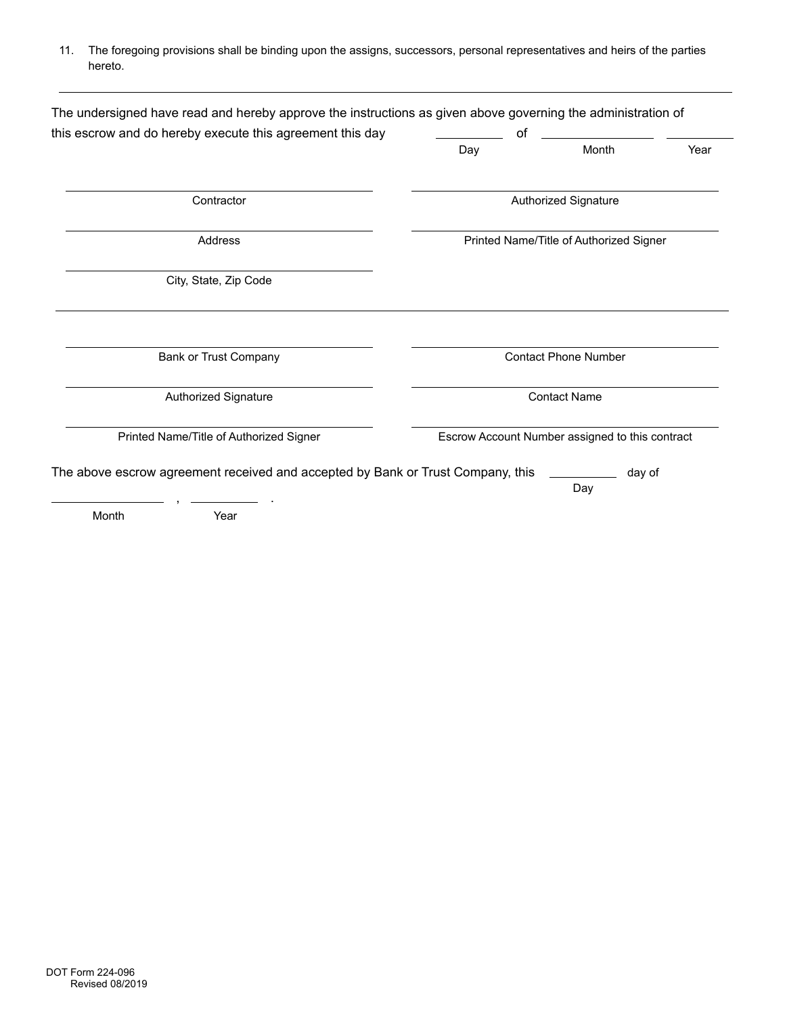11. The foregoing provisions shall be binding upon the assigns, successors, personal representatives and heirs of the parties hereto.

| this escrow and do hereby execute this agreement this day                       | οf                                              |               |      |  |
|---------------------------------------------------------------------------------|-------------------------------------------------|---------------|------|--|
|                                                                                 | Day                                             | Month         | Year |  |
| Contractor                                                                      | <b>Authorized Signature</b>                     |               |      |  |
| Address                                                                         | Printed Name/Title of Authorized Signer         |               |      |  |
| City, State, Zip Code                                                           |                                                 |               |      |  |
| <b>Bank or Trust Company</b>                                                    | <b>Contact Phone Number</b>                     |               |      |  |
| Authorized Signature                                                            | <b>Contact Name</b>                             |               |      |  |
| Printed Name/Title of Authorized Signer                                         | Escrow Account Number assigned to this contract |               |      |  |
| The above escrow agreement received and accepted by Bank or Trust Company, this |                                                 | day of<br>Day |      |  |
|                                                                                 |                                                 |               |      |  |